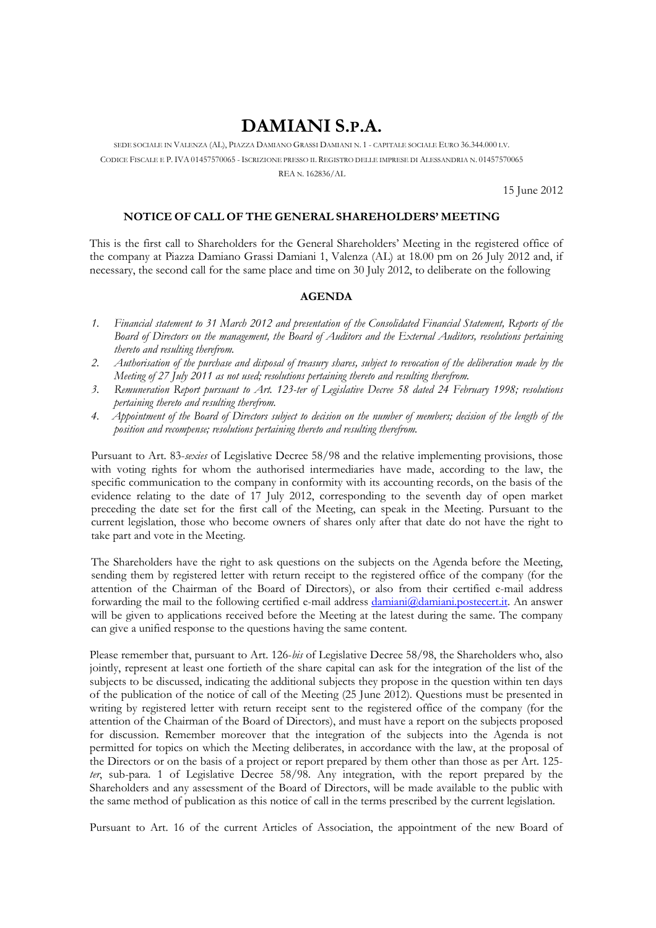## DAMIANI S.P.A.

SEDE SOCIALE IN VALENZA (AL), PIAZZA DAMIANO GRASSI DAMIANI N. 1 - CAPITALE SOCIALE EURO 36.344.000 I.V. CODICE FISCALE E P. IVA 01457570065 - ISCRIZIONE PRESSO IL REGISTRO DELLE IMPRESE DI ALESSANDRIA N. 01457570065 REA N. 162836/AL

15 June 2012

## NOTICE OF CALL OF THE GENERAL SHAREHOLDERS' MEETING

This is the first call to Shareholders for the General Shareholders' Meeting in the registered office of the company at Piazza Damiano Grassi Damiani 1, Valenza (AL) at 18.00 pm on 26 July 2012 and, if necessary, the second call for the same place and time on 30 July 2012, to deliberate on the following

## **AGENDA**

- $\mathcal{I}$ . Financial statement to 31 March 2012 and presentation of the Consolidated Financial Statement, Reports of the Board of Directors on the management, the Board of Auditors and the External Auditors, resolutions pertaining thereto and resulting therefrom.
- $\mathcal{L}$ Authorisation of the purchase and disposal of treasury shares, subject to revocation of the deliberation made by the Meeting of 27 July 2011 as not used; resolutions pertaining thereto and resulting therefrom.
- $\beta$ . Remuneration Report pursuant to Art. 123-ter of Legislative Decree 58 dated 24 February 1998; resolutions pertaining thereto and resulting therefrom.
- Appointment of the Board of Directors subject to decision on the number of members; decision of the length of the  $\mathcal{A}_{\cdot}$ position and recompense; resolutions pertaining thereto and resulting therefrom.

Pursuant to Art. 83-sexies of Legislative Decree 58/98 and the relative implementing provisions, those with voting rights for whom the authorised intermediaries have made, according to the law, the specific communication to the company in conformity with its accounting records, on the basis of the evidence relating to the date of 17 July 2012, corresponding to the seventh day of open market preceding the date set for the first call of the Meeting, can speak in the Meeting. Pursuant to the current legislation, those who become owners of shares only after that date do not have the right to take part and vote in the Meeting.

The Shareholders have the right to ask questions on the subjects on the Agenda before the Meeting, sending them by registered letter with return receipt to the registered office of the company (for the attention of the Chairman of the Board of Directors), or also from their certified e-mail address forwarding the mail to the following certified e-mail address damiani@damiani.postecert.it. An answer will be given to applications received before the Meeting at the latest during the same. The company can give a unified response to the questions having the same content.

Please remember that, pursuant to Art. 126-bis of Legislative Decree 58/98, the Shareholders who, also jointly, represent at least one fortieth of the share capital can ask for the integration of the list of the subjects to be discussed, indicating the additional subjects they propose in the question within ten days of the publication of the notice of call of the Meeting (25 June 2012). Questions must be presented in writing by registered letter with return receipt sent to the registered office of the company (for the attention of the Chairman of the Board of Directors), and must have a report on the subjects proposed for discussion. Remember moreover that the integration of the subjects into the Agenda is not permitted for topics on which the Meeting deliberates, in accordance with the law, at the proposal of the Directors or on the basis of a project or report prepared by them other than those as per Art. 125ter, sub-para. 1 of Legislative Decree 58/98. Any integration, with the report prepared by the Shareholders and any assessment of the Board of Directors, will be made available to the public with the same method of publication as this notice of call in the terms prescribed by the current legislation.

Pursuant to Art. 16 of the current Articles of Association, the appointment of the new Board of